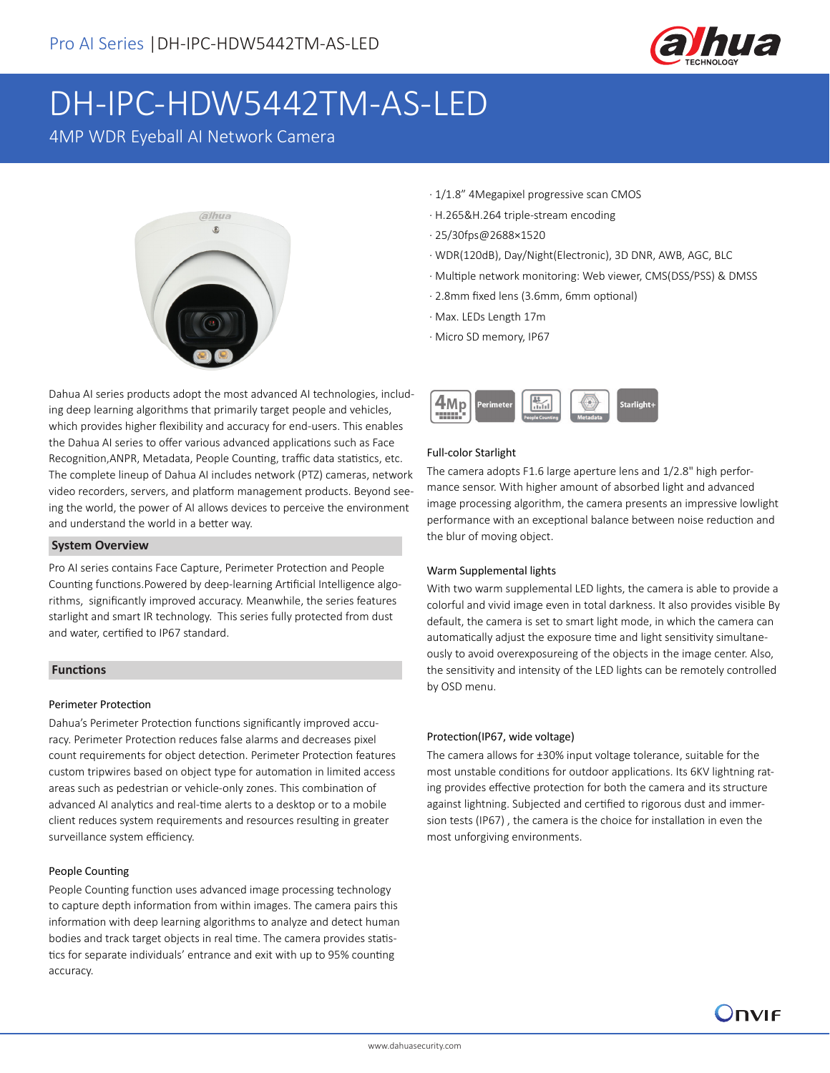

# DH-IPC-HDW5442TM-AS-LED

4MP WDR Eyeball AI Network Camera



Dahua AI series products adopt the most advanced AI technologies, including deep learning algorithms that primarily target people and vehicles, which provides higher flexibility and accuracy for end-users. This enables the Dahua AI series to offer various advanced applications such as Face Recognition,ANPR, Metadata, People Counting, traffic data statistics, etc. The complete lineup of Dahua AI includes network (PTZ) cameras, network video recorders, servers, and platform management products. Beyond seeing the world, the power of AI allows devices to perceive the environment and understand the world in a better way.

### **System Overview**

Pro AI series contains Face Capture, Perimeter Protection and People Counting functions.Powered by deep-learning Artificial Intelligence algorithms, significantly improved accuracy. Meanwhile, the series features starlight and smart IR technology. This series fully protected from dust and water, certified to IP67 standard.

### **Functions**

#### Perimeter Protection

Dahua's Perimeter Protection functions significantly improved accuracy. Perimeter Protection reduces false alarms and decreases pixel count requirements for object detection. Perimeter Protection features custom tripwires based on object type for automation in limited access areas such as pedestrian or vehicle-only zones. This combination of advanced AI analytics and real-time alerts to a desktop or to a mobile client reduces system requirements and resources resulting in greater surveillance system efficiency.

### People Counting

People Counting function uses advanced image processing technology to capture depth information from within images. The camera pairs this information with deep learning algorithms to analyze and detect human bodies and track target objects in real time. The camera provides statistics for separate individuals' entrance and exit with up to 95% counting accuracy.

- · 1/1.8" 4Megapixel progressive scan CMOS
- · H.265&H.264 triple-stream encoding
- · 25/30fps@2688×1520
- · WDR(120dB), Day/Night(Electronic), 3D DNR, AWB, AGC, BLC
- · Multiple network monitoring: Web viewer, CMS(DSS/PSS) & DMSS
- · 2.8mm fixed lens (3.6mm, 6mm optional)
- · Max. LEDs Length 17m
- · Micro SD memory, IP67



### Full-color Starlight

The camera adopts F1.6 large aperture lens and 1/2.8" high performance sensor. With higher amount of absorbed light and advanced image processing algorithm, the camera presents an impressive lowlight performance with an exceptional balance between noise reduction and the blur of moving object.

#### Warm Supplemental lights

With two warm supplemental LED lights, the camera is able to provide a colorful and vivid image even in total darkness. It also provides visible By default, the camera is set to smart light mode, in which the camera can automatically adjust the exposure time and light sensitivity simultaneously to avoid overexposureing of the objects in the image center. Also, the sensitivity and intensity of the LED lights can be remotely controlled by OSD menu.

### Protection(IP67, wide voltage)

The camera allows for ±30% input voltage tolerance, suitable for the most unstable conditions for outdoor applications. Its 6KV lightning rating provides effective protection for both the camera and its structure against lightning. Subjected and certified to rigorous dust and immersion tests (IP67) , the camera is the choice for installation in even the most unforgiving environments.

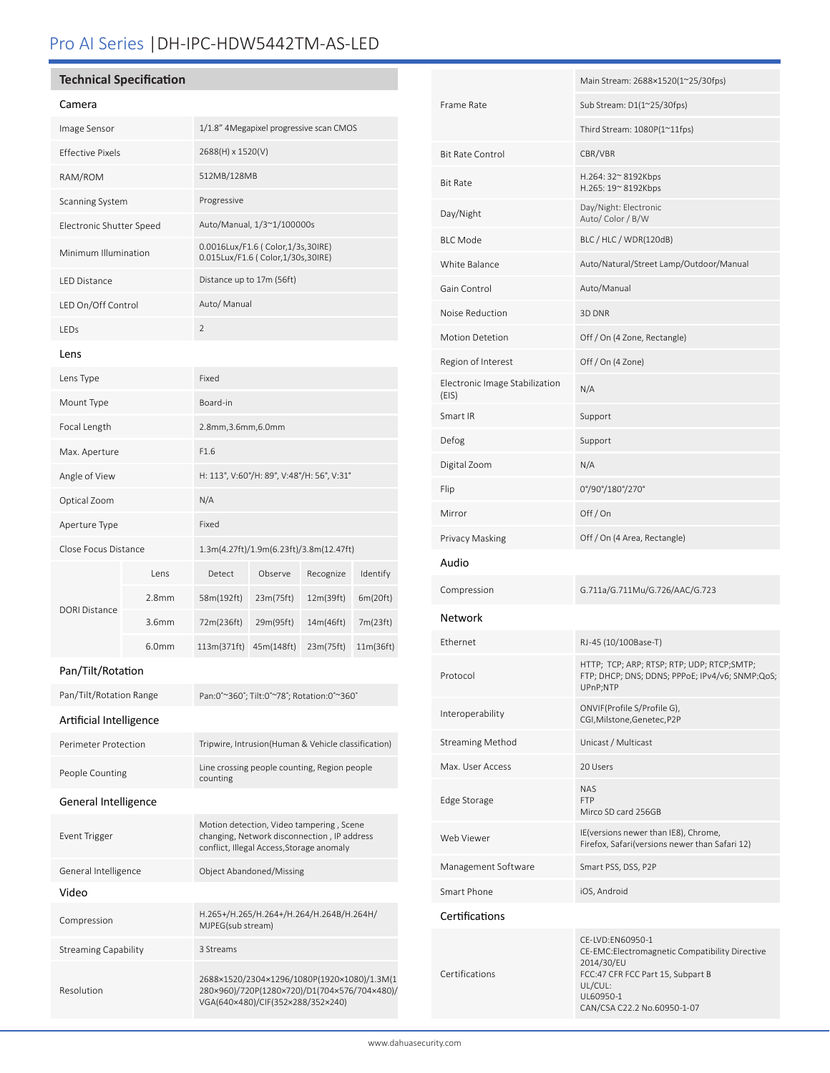# Pro AI Series |DH-IPC-HDW5442TM-AS-LED

### **Technical Specification**

### Camera

| cannola                     |                   |                                                                                                                                      |            |           |           |  |
|-----------------------------|-------------------|--------------------------------------------------------------------------------------------------------------------------------------|------------|-----------|-----------|--|
| Image Sensor                |                   | 1/1.8" 4Megapixel progressive scan CMOS                                                                                              |            |           |           |  |
| <b>Effective Pixels</b>     |                   | 2688(H) x 1520(V)                                                                                                                    |            |           |           |  |
| RAM/ROM                     |                   | 512MB/128MB                                                                                                                          |            |           |           |  |
| Scanning System             |                   | Progressive                                                                                                                          |            |           |           |  |
| Electronic Shutter Speed    |                   | Auto/Manual, 1/3~1/100000s                                                                                                           |            |           |           |  |
| Minimum Illumination        |                   | 0.0016Lux/F1.6 (Color,1/3s,30IRE)<br>0.015Lux/F1.6 ( Color,1/30s,30IRE)                                                              |            |           |           |  |
| LED Distance                |                   | Distance up to 17m (56ft)                                                                                                            |            |           |           |  |
| LED On/Off Control          |                   | Auto/ Manual                                                                                                                         |            |           |           |  |
| LEDs                        |                   | $\overline{2}$                                                                                                                       |            |           |           |  |
| Lens                        |                   |                                                                                                                                      |            |           |           |  |
| Lens Type                   |                   | Fixed                                                                                                                                |            |           |           |  |
| Mount Type                  |                   | Board-in                                                                                                                             |            |           |           |  |
| Focal Length                |                   | 2.8mm, 3.6mm, 6.0mm                                                                                                                  |            |           |           |  |
| Max. Aperture               |                   | F1.6                                                                                                                                 |            |           |           |  |
| Angle of View               |                   | H: 113°, V:60°/H: 89°, V:48°/H: 56°, V:31°                                                                                           |            |           |           |  |
| Optical Zoom                |                   | N/A                                                                                                                                  |            |           |           |  |
| Aperture Type               |                   | Fixed                                                                                                                                |            |           |           |  |
| Close Focus Distance        |                   | 1.3m(4.27ft)/1.9m(6.23ft)/3.8m(12.47ft)                                                                                              |            |           |           |  |
|                             | Lens              | Detect                                                                                                                               | Observe    | Recognize | Identify  |  |
| <b>DORI Distance</b>        | 2.8 <sub>mm</sub> | 58m(192ft)                                                                                                                           | 23m(75ft)  | 12m(39ft) | 6m(20ft)  |  |
|                             | 3.6mm             | 72m(236ft)                                                                                                                           | 29m(95ft)  | 14m(46ft) | 7m(23ft)  |  |
|                             | 6.0mm             | 113m(371ft)                                                                                                                          | 45m(148ft) | 23m(75ft) | 11m(36ft) |  |
| Pan/Tilt/Rotation           |                   |                                                                                                                                      |            |           |           |  |
| Pan/Tilt/Rotation Range     |                   | Pan:0°~360°; Tilt:0°~78°; Rotation:0°~360°                                                                                           |            |           |           |  |
| Artificial Intelligence     |                   |                                                                                                                                      |            |           |           |  |
| Perimeter Protection        |                   | Tripwire, Intrusion(Human & Vehicle classification)                                                                                  |            |           |           |  |
| People Counting             |                   | Line crossing people counting, Region people<br>counting                                                                             |            |           |           |  |
| General Intelligence        |                   |                                                                                                                                      |            |           |           |  |
| Event Trigger               |                   | Motion detection, Video tampering, Scene<br>changing, Network disconnection, IP address<br>conflict, Illegal Access, Storage anomaly |            |           |           |  |
| General Intelligence        |                   | Object Abandoned/Missing                                                                                                             |            |           |           |  |
| Video                       |                   |                                                                                                                                      |            |           |           |  |
| Compression                 |                   | H.265+/H.265/H.264+/H.264/H.264B/H.264H/<br>MJPEG(sub stream)                                                                        |            |           |           |  |
| <b>Streaming Capability</b> |                   | 3 Streams                                                                                                                            |            |           |           |  |
| Resolution                  |                   | 2688×1520/2304×1296/1080P(1920×1080)/1.3M(1<br>280×960)/720P(1280×720)/D1(704×576/704×480)/                                          |            |           |           |  |

VGA(640×480)/CIF(352×288/352×240)

|                                         | Main Stream: 2688×1520(1~25/30fps)                                                                                                                                           |  |  |
|-----------------------------------------|------------------------------------------------------------------------------------------------------------------------------------------------------------------------------|--|--|
| Frame Rate                              | Sub Stream: D1(1~25/30fps)                                                                                                                                                   |  |  |
|                                         | Third Stream: 1080P(1~11fps)                                                                                                                                                 |  |  |
| <b>Bit Rate Control</b>                 | CBR/VBR                                                                                                                                                                      |  |  |
| <b>Bit Rate</b>                         | H.264: 32~8192Kbps<br>H.265: 19~8192Kbps                                                                                                                                     |  |  |
| Day/Night                               | Day/Night: Electronic<br>Auto/Color/B/W                                                                                                                                      |  |  |
| <b>BLC Mode</b>                         | BLC / HLC / WDR(120dB)                                                                                                                                                       |  |  |
| White Balance                           | Auto/Natural/Street Lamp/Outdoor/Manual                                                                                                                                      |  |  |
| Gain Control                            | Auto/Manual                                                                                                                                                                  |  |  |
| Noise Reduction                         | 3D DNR                                                                                                                                                                       |  |  |
| <b>Motion Detetion</b>                  | Off / On (4 Zone, Rectangle)                                                                                                                                                 |  |  |
| Region of Interest                      | Off / On (4 Zone)                                                                                                                                                            |  |  |
| Electronic Image Stabilization<br>(EIS) | N/A                                                                                                                                                                          |  |  |
| Smart IR                                | Support                                                                                                                                                                      |  |  |
| Defog                                   | Support                                                                                                                                                                      |  |  |
| Digital Zoom                            | N/A                                                                                                                                                                          |  |  |
| Flip                                    | 0°/90°/180°/270°                                                                                                                                                             |  |  |
| Mirror                                  | Off/On                                                                                                                                                                       |  |  |
| Privacy Masking                         | Off / On (4 Area, Rectangle)                                                                                                                                                 |  |  |
| Audio                                   |                                                                                                                                                                              |  |  |
| Compression                             | G.711a/G.711Mu/G.726/AAC/G.723                                                                                                                                               |  |  |
| Network                                 |                                                                                                                                                                              |  |  |
| Ethernet                                | RJ-45 (10/100Base-T)                                                                                                                                                         |  |  |
| Protocol                                | HTTP; TCP; ARP; RTSP; RTP; UDP; RTCP;SMTP;<br>FTP; DHCP; DNS; DDNS; PPPoE; IPv4/v6; SNMP;QoS;<br>UPnP;NTP                                                                    |  |  |
| Interoperability                        | ONVIF(Profile S/Profile G),<br>CGI, Milstone, Genetec, P2P                                                                                                                   |  |  |
| <b>Streaming Method</b>                 | Unicast / Multicast                                                                                                                                                          |  |  |
| Max. User Access                        | 20 Users                                                                                                                                                                     |  |  |
| Edge Storage                            | <b>NAS</b><br><b>FTP</b><br>Mirco SD card 256GB                                                                                                                              |  |  |
| Web Viewer                              | IE(versions newer than IE8), Chrome,<br>Firefox, Safari(versions newer than Safari 12)                                                                                       |  |  |
| Management Software                     | Smart PSS, DSS, P2P                                                                                                                                                          |  |  |
| Smart Phone                             | iOS, Android                                                                                                                                                                 |  |  |
| Certifications                          |                                                                                                                                                                              |  |  |
| Certifications                          | CE-LVD:EN60950-1<br>CE-EMC:Electromagnetic Compatibility Directive<br>2014/30/EU<br>FCC:47 CFR FCC Part 15, Subpart B<br>UL/CUL:<br>UL60950-1<br>CAN/CSA C22.2 No.60950-1-07 |  |  |